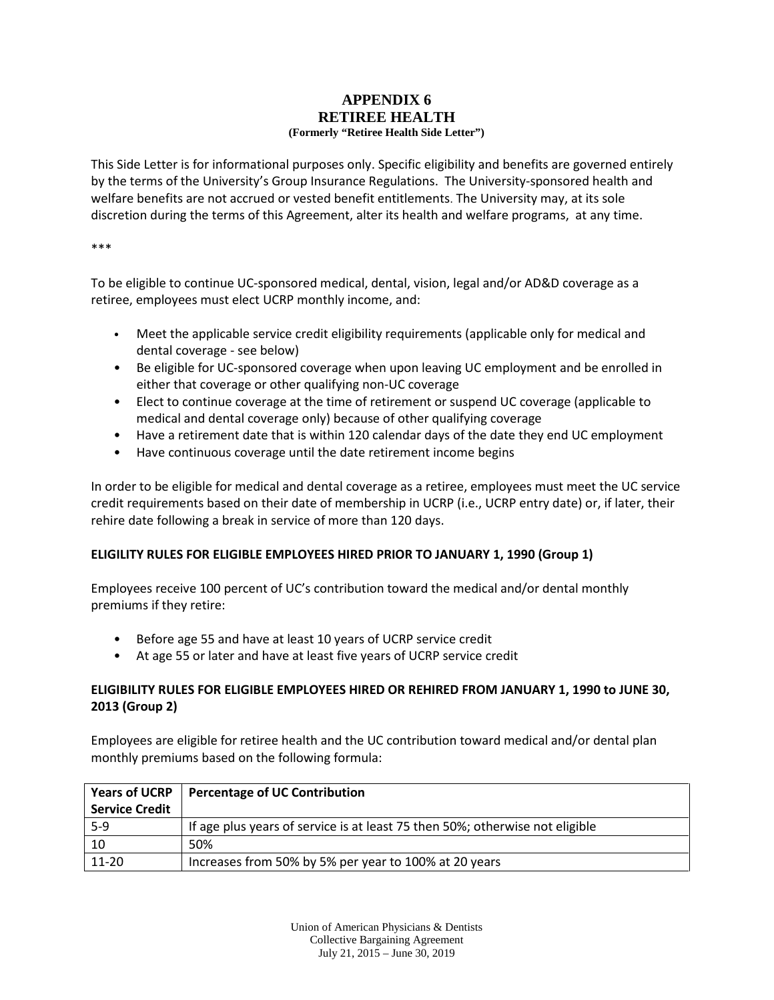## **APPENDIX 6 RETIREE HEALTH (Formerly "Retiree Health Side Letter")**

This Side Letter is for informational purposes only. Specific eligibility and benefits are governed entirely by the terms of the University's Group Insurance Regulations. The University-sponsored health and welfare benefits are not accrued or vested benefit entitlements. The University may, at its sole discretion during the terms of this Agreement, alter its health and welfare programs, at any time.

\*\*\*

To be eligible to continue UC-sponsored medical, dental, vision, legal and/or AD&D coverage as a retiree, employees must elect UCRP monthly income, and:

- Meet the applicable service credit eligibility requirements (applicable only for medical and dental coverage - see below)
- Be eligible for UC-sponsored coverage when upon leaving UC employment and be enrolled in either that coverage or other qualifying non-UC coverage
- Elect to continue coverage at the time of retirement or suspend UC coverage (applicable to medical and dental coverage only) because of other qualifying coverage
- Have a retirement date that is within 120 calendar days of the date they end UC employment
- Have continuous coverage until the date retirement income begins

In order to be eligible for medical and dental coverage as a retiree, employees must meet the UC service credit requirements based on their date of membership in UCRP (i.e., UCRP entry date) or, if later, their rehire date following a break in service of more than 120 days.

## **ELIGILITY RULES FOR ELIGIBLE EMPLOYEES HIRED PRIOR TO JANUARY 1, 1990 (Group 1)**

Employees receive 100 percent of UC's contribution toward the medical and/or dental monthly premiums if they retire:

- Before age 55 and have at least 10 years of UCRP service credit
- At age 55 or later and have at least five years of UCRP service credit

## **ELIGIBILITY RULES FOR ELIGIBLE EMPLOYEES HIRED OR REHIRED FROM JANUARY 1, 1990 to JUNE 30, 2013 (Group 2)**

Employees are eligible for retiree health and the UC contribution toward medical and/or dental plan monthly premiums based on the following formula:

|                       | Years of UCRP   Percentage of UC Contribution                                |  |  |  |  |  |  |
|-----------------------|------------------------------------------------------------------------------|--|--|--|--|--|--|
| <b>Service Credit</b> |                                                                              |  |  |  |  |  |  |
| $5-9$                 | If age plus years of service is at least 75 then 50%; otherwise not eligible |  |  |  |  |  |  |
| -10                   | 50%                                                                          |  |  |  |  |  |  |
| $11-20$               | Increases from 50% by 5% per year to 100% at 20 years                        |  |  |  |  |  |  |